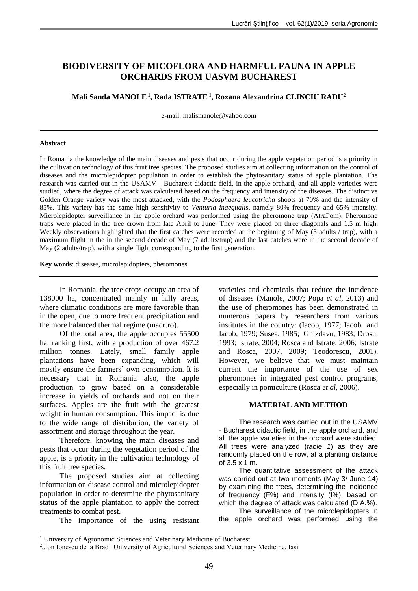# **BIODIVERSITY OF MICOFLORA AND HARMFUL FAUNA IN APPLE ORCHARDS FROM UASVM BUCHAREST**

**Mali Sanda MANOLE<sup>1</sup> , Rada ISTRATE<sup>1</sup> , Roxana Alexandrina CLINCIU RADU<sup>2</sup>**

e-mail: [malismanole@yahoo.com](mailto:malismanole@yahoo.com)

#### **Abstract**

In Romania the knowledge of the main diseases and pests that occur during the apple vegetation period is a priority in the cultivation technology of this fruit tree species. The proposed studies aim at collecting information on the control of diseases and the microlepidopter population in order to establish the phytosanitary status of apple plantation. The research was carried out in the USAMV - Bucharest didactic field, in the apple orchard, and all apple varieties were studied, where the degree of attack was calculated based on the frequency and intensity of the diseases. The distinctive Golden Orange variety was the most attacked, with the *Podosphaera leucotricha* shoots at 70% and the intensity of 85%. This variety has the same high sensitivity to *Venturia inaequalis*, namely 80% frequency and 65% intensity. Microlepidopter surveillance in the apple orchard was performed using the pheromone trap (AtraPom). Pheromone traps were placed in the tree crown from late April to June. They were placed on three diagonals and 1.5 m high. Weekly observations highlighted that the first catches were recorded at the beginning of May (3 adults / trap), with a maximum flight in the in the second decade of May (7 adults/trap) and the last catches were in the second decade of May (2 adults/trap), with a single flight corresponding to the first generation.

**Key words**: diseases, microlepidopters, pheromones

In Romania, the tree crops occupy an area of 138000 ha, concentrated mainly in hilly areas, where climatic conditions are more favorable than in the open, due to more frequent precipitation and the more balanced thermal regime (madr.ro).

Of the total area, the apple occupies 55500 ha, ranking first, with a production of over 467.2 million tonnes. Lately, small family apple plantations have been expanding, which will mostly ensure the farmers' own consumption. It is necessary that in Romania also, the apple production to grow based on a considerable increase in yields of orchards and not on their surfaces. Apples are the fruit with the greatest weight in human consumption. This impact is due to the wide range of distribution, the variety of assortment and storage throughout the year.

Therefore, knowing the main diseases and pests that occur during the vegetation period of the apple, is a priority in the cultivation technology of this fruit tree species.

The proposed studies aim at collecting information on disease control and microlepidopter population in order to determine the phytosanitary status of the apple plantation to apply the correct treatments to combat pest.

<u>.</u>

The importance of the using resistant

varieties and chemicals that reduce the incidence of diseases (Manole, 2007; Popa *et al*, 2013) and the use of pheromones has been demonstrated in numerous papers by researchers from various institutes in the country: (Iacob, 1977; Iacob and Iacob, 1979; Susea, 1985; Ghizdavu, 1983; Drosu, 1993; Istrate, 2004; Rosca and Istrate, 2006; Istrate and Rosca, 2007, 2009; Teodorescu, 2001). However, we believe that we must maintain current the importance of the use of sex pheromones in integrated pest control programs, especially in pomiculture (Rosca *et al*, 2006).

## **MATERIAL AND METHOD**

The research was carried out in the USAMV - Bucharest didactic field, in the apple orchard, and all the apple varieties in the orchard were studied. All trees were analyzed (*table 1*) as they are randomly placed on the row, at a planting distance of 3.5 x 1 m.

The quantitative assessment of the attack was carried out at two moments (May 3/ June 14) by examining the trees, determining the incidence of frequency (F%) and intensity (I%), based on which the degree of attack was calculated (D.A.%).

The surveillance of the microlepidopters in the apple orchard was performed using the

<sup>&</sup>lt;sup>1</sup> University of Agronomic Sciences and Veterinary Medicine of Bucharest

<sup>&</sup>lt;sup>2</sup>, Ion Ionescu de la Brad" University of Agricultural Sciences and Veterinary Medicine, Iași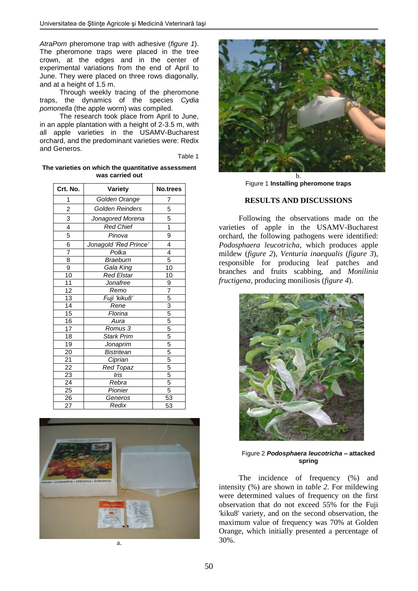*AtraPom* pheromone trap with adhesive (*figure 1*). The pheromone traps were placed in the tree crown, at the edges and in the center of experimental variations from the end of April to June. They were placed on three rows diagonally, and at a height of 1.5 m.

Through weekly tracing of the pheromone traps, the dynamics of the species *Cydia pomonella* (the apple worm) was compiled.

The research took place from April to June, in an apple plantation with a height of 2-3.5 m, with all apple varieties in the USAMV-Bucharest orchard, and the predominant varieties were: Redix and Generos.

Table 1

**The varieties on which the quantitative assessment was carried out**

| Crt. No.        | Variety               | No.trees                                                              |  |  |  |
|-----------------|-----------------------|-----------------------------------------------------------------------|--|--|--|
| 1               | Golden Orange         | 7                                                                     |  |  |  |
| $\overline{c}$  | Golden Reinders       | 5                                                                     |  |  |  |
| 3               | Jonagored Morena      | 5                                                                     |  |  |  |
| $\overline{4}$  | <b>Red Chief</b>      | 1                                                                     |  |  |  |
| 5               | Pinova                | 9                                                                     |  |  |  |
| 6               | Jonagold 'Red Prince' | 4                                                                     |  |  |  |
| 7               | Polka                 | 4                                                                     |  |  |  |
| $\overline{8}$  | <b>Braeburn</b>       | $\overline{5}$                                                        |  |  |  |
| 9               | Gala King             | 10                                                                    |  |  |  |
| 10              | <b>Red Elstar</b>     | 10                                                                    |  |  |  |
| 11              | Jonafree              | $\frac{9}{7}$                                                         |  |  |  |
| $\overline{12}$ | Remo                  |                                                                       |  |  |  |
| $\overline{13}$ | Fuji 'kiku8'          |                                                                       |  |  |  |
| $\overline{14}$ | Rene                  |                                                                       |  |  |  |
| 15              | Florina               |                                                                       |  |  |  |
| $\overline{16}$ | Aura                  |                                                                       |  |  |  |
| $\overline{17}$ | Romus <sub>3</sub>    |                                                                       |  |  |  |
| $\overline{18}$ | Stark Prim            | $\frac{5}{3}$ $\frac{5}{5}$ $\frac{5}{5}$ $\frac{5}{5}$ $\frac{5}{5}$ |  |  |  |
| 19              | Jonaprim              |                                                                       |  |  |  |
| 20              | <b>Bistritean</b>     |                                                                       |  |  |  |
| $\frac{21}{1}$  | Ciprian               | $rac{5}{5}$                                                           |  |  |  |
| $\overline{22}$ | <b>Red Topaz</b>      |                                                                       |  |  |  |
| $\frac{23}{24}$ | Iris                  | $\frac{5}{5}$                                                         |  |  |  |
|                 | Rebra                 |                                                                       |  |  |  |
| 25              | Pionier               | 5                                                                     |  |  |  |
| $\overline{26}$ | Generos               | $\overline{53}$                                                       |  |  |  |
| 27              | Redix                 | 53                                                                    |  |  |  |





b. Figure 1 **Installing pheromone traps**

## **RESULTS AND DISCUSSIONS**

Following the observations made on the varieties of apple in the USAMV-Bucharest orchard, the following pathogens were identified: *Podosphaera leucotricha*, which produces apple mildew (*figure 2*), *Venturia inaequalis* (*figure 3*), responsible for producing leaf patches and branches and fruits scabbing, and *Monilinia fructigena*, producing moniliosis (*figure 4*).



Figure 2 *Podosphaera leucotricha* **– attacked spring**

The incidence of frequency (%) and intensity (%) are shown in *table 2.* For mildewing were determined values of frequency on the first observation that do not exceed 55% for the Fuji 'kiku8' variety, and on the second observation, the maximum value of frequency was 70% at Golden Orange, which initially presented a percentage of 30%.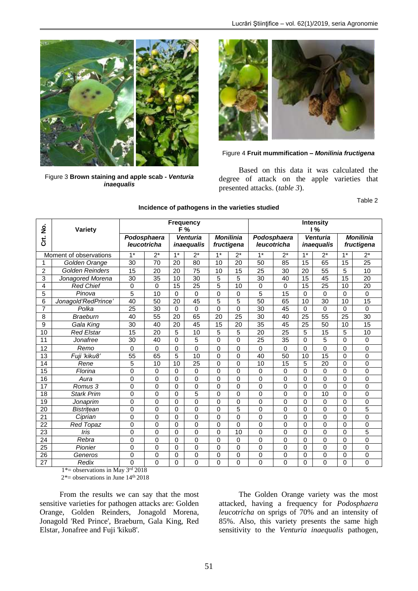

Figure 3 **Brown staining and apple scab -** *Venturia inaequalis*



Figure 4 **Fruit mummification –** *Monilinia fructigena*

Based on this data it was calculated the degree of attack on the apple varieties that presented attacks. (*table 3*).

Table 2

| ġ               | <b>Variety</b>         | <b>Frequency</b><br>F% |                            |              |                                      |              | <b>Intensity</b><br>1%         |                            |                |                               |                                |      |                 |
|-----------------|------------------------|------------------------|----------------------------|--------------|--------------------------------------|--------------|--------------------------------|----------------------------|----------------|-------------------------------|--------------------------------|------|-----------------|
| ້<br>ບັ         |                        |                        | Podosphaera<br>leucotricha |              | <b>Venturia</b><br><i>inaequalis</i> |              | <b>Monilinia</b><br>fructigena | Podosphaera<br>leucotricha |                | Venturia<br><i>inaequalis</i> | <b>Monilinia</b><br>fructigena |      |                 |
|                 | Moment of observations | $1*$                   | $2^*$                      | $1*$         | $2^*$                                | $1*$         | $2^*$                          | $1*$                       | $2^*$          | $1*$                          | $2^*$                          | $1*$ | $2^*$           |
| 1               | Golden Orange          | 30                     | 70                         | 20           | 80                                   | 10           | 20                             | 50                         | 85             | 15                            | 65                             | 15   | 25              |
| 2               | <b>Golden Reinders</b> | 15                     | 20                         | 20           | 75                                   | 10           | 15                             | 25                         | 30             | 20                            | 55                             | 5    | 10              |
| 3               | Jonagored Morena       | 30                     | 35                         | 10           | 30                                   | 5            | 5                              | 30                         | 40             | 15                            | 45                             | 15   | 20              |
| 4               | <b>Red Chief</b>       | 0                      | 0                          | 15           | 25                                   | 5            | 10                             | 0                          | 0              | 15                            | 25                             | 10   | 20              |
| 5               | Pinova                 | 5                      | 10                         | $\Omega$     | 0                                    | $\mathbf{0}$ | $\Omega$                       | 5                          | 15             | $\Omega$                      | 0                              | 0    | $\mathbf 0$     |
| 6               | Jonagold'RedPrince'    | $\overline{40}$        | 50                         | 20           | $\overline{45}$                      | 5            | 5                              | 50                         | 65             | 10                            | 30                             | 10   | $\overline{15}$ |
| $\overline{7}$  | Polka                  | 25                     | 30                         | $\Omega$     | 0                                    | $\Omega$     | $\Omega$                       | 30                         | 45             | $\Omega$                      | 0                              | 0    | $\Omega$        |
| 8               | <b>Braeburn</b>        | 40                     | 55                         | 20           | 65                                   | 20           | 25                             | 30                         | 40             | $\overline{25}$               | 55                             | 25   | 30              |
| 9               | Gala King              | 30                     | 40                         | 20           | 45                                   | 15           | 20                             | 35                         | 45             | 25                            | 50                             | 10   | 15              |
| 10              | <b>Red Elstar</b>      | 15                     | 20                         | 5            | 10                                   | 5            | 5                              | 20                         | 25             | 5                             | 15                             | 5    | 10              |
| 11              | Jonafree               | 30                     | 40                         | $\Omega$     | 5                                    | $\mathbf{0}$ | $\Omega$                       | 25                         | 35             | $\Omega$                      | 5                              | 0    | $\Omega$        |
| 12              | Remo                   | 0                      | 0                          | 0            | 0                                    | $\mathbf 0$  | $\Omega$                       | 0                          | 0              | $\Omega$                      | 0                              | 0    | $\mathbf 0$     |
| $\overline{13}$ | Fuji 'kiku8'           | 55                     | 65                         | 5            | 10                                   | $\Omega$     | $\Omega$                       | 40                         | 50             | 10                            | 15                             | 0    | $\mathbf 0$     |
| 14              | Rene                   | 5                      | 10                         | 10           | 25                                   | $\mathbf 0$  | 0                              | 10                         | 15             | 5                             | 20                             | 0    | $\mathbf 0$     |
| $\overline{15}$ | Florina                | 0                      | 0                          | 0            | $\Omega$                             | $\Omega$     | $\Omega$                       | 0                          | 0              | $\Omega$                      | 0                              | 0    | $\Omega$        |
| 16              | Aura                   | $\mathbf 0$            | 0                          | 0            | 0                                    | $\mathbf{0}$ | $\Omega$                       | 0                          | 0              | $\Omega$                      | 0                              | 0    | $\Omega$        |
| 17              | Romus 3                | 0                      | 0                          | $\mathbf 0$  | 0                                    | $\mathbf{0}$ | $\Omega$                       | 0                          | 0              | 0                             | 0                              | 0    | $\mathbf 0$     |
| 18              | <b>Stark Prim</b>      | 0                      | 0                          | 0            | 5                                    | $\Omega$     | $\Omega$                       | 0                          | 0              | 0                             | 10                             | 0    | 0               |
| 19              | Jonaprim               | 0                      | 0                          | 0            | 0                                    | $\Omega$     | $\Omega$                       | 0                          | 0              | $\Omega$                      | 0                              | 0    | $\mathbf 0$     |
| 20              | <b>Bistritean</b>      | 0                      | 0                          | 0            | 0                                    | $\mathbf{0}$ | 5                              | 0                          | 0              | 0                             | 0                              | 0    | 5               |
| 21              | Ciprian                | $\mathbf 0$            | 0                          | $\Omega$     | 0                                    | $\Omega$     | $\Omega$                       | 0                          | 0              | $\Omega$                      | 0                              | 0    | $\Omega$        |
| 22              | Red Topaz              | 0                      | 0                          | $\Omega$     | 0                                    | $\Omega$     | $\Omega$                       | 0                          | 0              | $\Omega$                      | 0                              | 0    | $\mathbf 0$     |
| 23              | Iris                   | 0                      | 0                          | $\mathbf{0}$ | $\overline{0}$                       | $\Omega$     | 10                             | $\overline{0}$             | $\overline{0}$ | $\Omega$                      | 0                              | 0    | 5               |
| 24              | Rebra                  | 0                      | 0                          | $\mathbf{0}$ | $\Omega$                             | $\Omega$     | $\Omega$                       | 0                          | $\Omega$       | $\Omega$                      | 0                              | 0    | $\Omega$        |
| 25              | Pionier                | $\mathbf 0$            | 0                          | $\mathbf 0$  | 0                                    | $\mathbf 0$  | 0                              | 0                          | 0              | 0                             | 0                              | 0    | $\mathbf 0$     |
| 26              | Generos                | 0                      | 0                          | 0            | 0                                    | 0            | 0                              | 0                          | 0              | 0                             | 0                              | 0    | 0               |
| 27              | Redix                  | 0                      | 0                          | 0            | $\Omega$                             | $\Omega$     | $\Omega$                       | 0                          | 0              | 0                             | 0                              | 0    | $\Omega$        |

### **Incidence of pathogens in the varieties studied**

1\*= observations in May 3rd 2018  $2^*$ = observations in June  $14^{\text{th}}$  2018

From the results we can say that the most sensitive varieties for pathogen attacks are: Golden Orange, Golden Reinders, Jonagold Morena, Jonagold 'Red Prince', Braeburn, Gala King, Red Elstar, Jonafree and Fuji 'kiku8'.

The Golden Orange variety was the most attacked, having a frequency for *Podosphaera leucotricha* on sprigs of 70% and an intensity of 85%. Also, this variety presents the same high sensitivity to the *Venturia inaequalis* pathogen,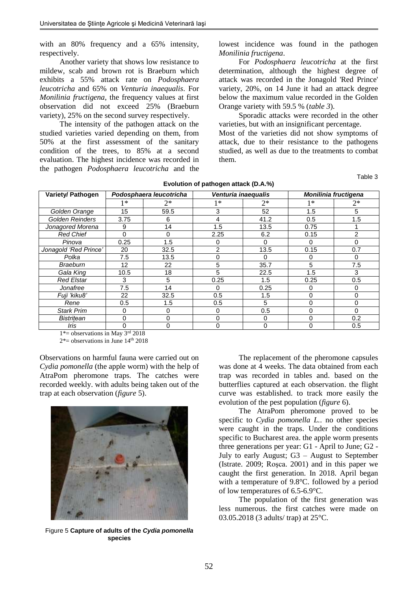with an 80% frequency and a 65% intensity, respectively.

Another variety that shows low resistance to mildew, scab and brown rot is Braeburn which exhibits a 55% attack rate on *Podosphaera leucotricha* and 65% on *Venturia inaequalis*. For *Monilinia fructigena*, the frequency values at first observation did not exceed 25% (Braeburn variety), 25% on the second survey respectively.

The intensity of the pathogen attack on the studied varieties varied depending on them, from 50% at the first assessment of the sanitary condition of the trees, to 85% at a second evaluation. The highest incidence was recorded in the pathogen *Podosphaera leucotricha* and the lowest incidence was found in the pathogen *Monilinia fructigena*.

For *Podosphaera leucotricha* at the first determination, although the highest degree of attack was recorded in the Jonagold 'Red Prince' variety, 20%, on 14 June it had an attack degree below the maximum value recorded in the Golden Orange variety with 59.5 % (*table 3*).

Sporadic attacks were recorded in the other varieties, but with an insignificant percentage.

Most of the varieties did not show symptoms of attack, due to their resistance to the pathogens studied, as well as due to the treatments to combat them.

**Evolution of pathogen attack (D.A.%)**

Table 3

| <b>Variety/ Pathogen</b> | Podosphaera leucotricha |          | Venturia inaequalis |          | Monilinia fructigena |                |  |
|--------------------------|-------------------------|----------|---------------------|----------|----------------------|----------------|--|
|                          | $1*$                    | $2^*$    | 1∗                  | $2^*$    | 1∗                   | $2*$           |  |
| Golden Orange            | 15                      | 59.5     | 3                   | 52       | 1.5                  | 5              |  |
| <b>Golden Reinders</b>   | 3.75                    | 6        | 4                   | 41.2     | 0.5                  | 1.5            |  |
| Jonagored Morena         | 9                       | 14       | 1.5                 | 13.5     | 0.75                 |                |  |
| <b>Red Chief</b>         | $\Omega$                | $\Omega$ | 2.25                | 6.2      | 0.15                 | $\overline{2}$ |  |
| Pinova                   | 0.25                    | 1.5      | 0                   | $\Omega$ | 0                    | 0              |  |
| Jonagold 'Red Prince'    | 20                      | 32.5     | 2                   | 13.5     | 0.15                 | 0.7            |  |
| Polka                    | 7.5                     | 13.5     | 0                   | 0        | 0                    | 0              |  |
| <b>Braeburn</b>          | 12                      | 22       | 5                   | 35.7     | 5                    | 7.5            |  |
| Gala King                | 10.5                    | 18       | 5                   | 22.5     | 1.5                  | 3              |  |
| <b>Red Elstar</b>        | 3                       | 5        | 0.25                | 1.5      | 0.25                 | 0.5            |  |
| Jonafree                 | 7.5                     | 14       | 0                   | 0.25     | 0                    | 0              |  |
| Fuji 'kiku8'             | 22                      | 32.5     | 0.5                 | 1.5      | 0                    | 0              |  |
| Rene                     | 0.5                     | 1.5      | 0.5                 | 5        | 0                    | 0              |  |
| <b>Stark Prim</b>        | 0                       | 0        | 0                   | 0.5      | 0                    | 0              |  |
| Bistritean               | 0                       | 0        | $\Omega$            | $\Omega$ | 0                    | 0.2            |  |
| Iris                     | $\Omega$                | $\Omega$ | $\Omega$            | $\Omega$ | 0                    | 0.5            |  |

1\*= observations in May 3rd 2018

 $2^*$ = observations in June  $14<sup>th</sup>$  2018

Observations on harmful fauna were carried out on *Cydia pomonella* (the apple worm) with the help of AtraPom pheromone traps. The catches were recorded weekly. with adults being taken out of the trap at each observation (*figure* 5).



Figure 5 **Capture of adults of the** *Cydia pomonella*  **species**

The replacement of the pheromone capsules was done at 4 weeks. The data obtained from each trap was recorded in tables and. based on the butterflies captured at each observation. the flight curve was established. to track more easily the evolution of the pest population (*figure* 6).

The AtraPom pheromone proved to be specific to *Cydia pomonella L.*. no other species were caught in the traps. Under the conditions specific to Bucharest area. the apple worm presents three generations per year: G1 - April to June; G2 - July to early August; G3 – August to September (Istrate. 2009; Roşca. 2001) and in this paper we caught the first generation. In 2018. April began with a temperature of 9.8°C. followed by a period of low temperatures of 6.5-6.9°C.

The population of the first generation was less numerous. the first catches were made on 03.05.2018 (3 adults/ trap) at 25°C.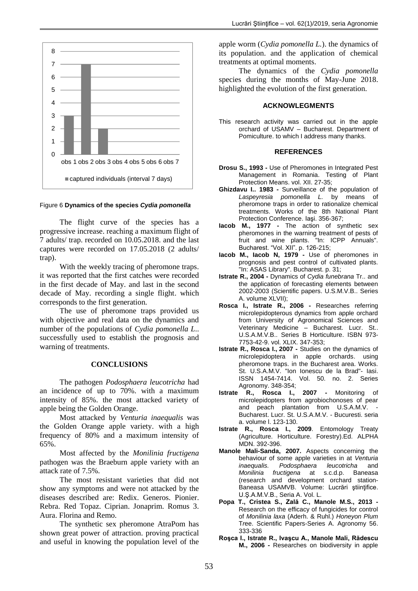

### Figure 6 **Dynamics of the species** *Cydia pomonella*

The flight curve of the species has a progressive increase. reaching a maximum flight of 7 adults/ trap. recorded on 10.05.2018. and the last captures were recorded on 17.05.2018 (2 adults/ trap).

With the weekly tracing of pheromone traps. it was reported that the first catches were recorded in the first decade of May. and last in the second decade of May. recording a single flight. which corresponds to the first generation.

The use of pheromone traps provided us with objective and real data on the dynamics and number of the populations of *Cydia pomonella L*.. successfully used to establish the prognosis and warning of treatments.

#### **CONCLUSIONS**

The pathogen *Podosphaera leucotricha* had an incidence of up to 70%. with a maximum intensity of 85%. the most attacked variety of apple being the Golden Orange.

Most attacked by *Venturia inaequalis* was the Golden Orange apple variety. with a high frequency of 80% and a maximum intensity of 65%.

Most affected by the *Monilinia fructigena* pathogen was the Braeburn apple variety with an attack rate of 7.5%.

The most resistant varieties that did not show any symptoms and were not attacked by the diseases described are: Redix. Generos. Pionier. Rebra. Red Topaz. Ciprian. Jonaprim. Romus 3. Aura. Florina and Remo.

The synthetic sex pheromone AtraPom has shown great power of attraction. proving practical and useful in knowing the population level of the apple worm (*Cydia pomonella L.*). the dynamics of its population. and the application of chemical treatments at optimal moments.

The dynamics of the *Cydia pomonella* species during the months of May-June 2018. highlighted the evolution of the first generation.

#### **ACKNOWLEGMENTS**

This research activity was carried out in the apple orchard of USAMV – Bucharest. Department of Pomiculture. to which I address many thanks.

#### **REFERENCES**

- **Drosu S., 1993 -** Use of Pheromones in Integrated Pest Management in Romania. Testing of Plant Protection Means. vol. XII. 27-35;
- **Ghizdavu I.. 1983 -** Surveillance of the population of *Laspeyresia pomonella L.* by means of pheromone traps in order to rationalize chemical treatments. Works of the 8th National Plant Protection Conference. Iaşi. 356-367;
- **Iacob M., 1977 -** The action of synthetic sex pheromones in the warning treatment of pests of fruit and wine plants. "In: ICPP Annuals". Bucharest. "Vol. XII". p. 126-215;
- **Iacob M., Iacob N, 1979 -** Use of pheromones in prognosis and pest control of cultivated plants. "In: ASAS Library". Bucharest. p. 31;
- **Istrate R., 2004 -** Dynamics of *Cydia funebrana* Tr.. and the application of forecasting elements between 2002-2003 (Scientific papers. U.S.M.V.B.. Series A. volume XLVII);
- **Rosca I., Istrate R., 2006 -** Researches referring microlepidopterous dynamics from apple orchard from University of Agronomical Sciences and Veterinary Medicine – Bucharest. Lucr. St.. U.S.A.M.V.B.. Series B Horticulture. ISBN 973- 7753-42-9. vol. XLIX. 347-353;
- **Istrate R., Rosca I., 2007 -** Studies on the dynamics of microlepidoptera in apple orchards. using pheromone traps. in the Bucharest area. Works. St. U.S.A.M.V. "Ion Ionescu de la Brad"- Iasi. ISSN 1454-7414. Vol. 50. no. 2. Series Agronomy. 348-354;
- **Istrate R., Rosca I., 2007 -** Monitoring of microlepidopters from agrobiochonoses of pear and peach plantation from U.S.A.M.V. Bucharest. Lucr. St. U.S.A.M.V. - Bucuresti. seria a. volume l. 123-130.
- **Istrate R., Rosca I., 2009**. Entomology Treaty (Agriculture. Horticulture. Forestry).Ed. ALPHA MDN. 392-396.
- **Manole Mali-Sanda, 2007.** Aspects concerning the behaviour of some apple varieties in at *Venturia inaequalis. Podosphaera leucotricha* and *Monilinia fructigena* at s.c.d.p. Baneasa (research and development orchard station-Baneasa USAMVB. Volume: Lucrări ştiinţifice. U.Ş.A.M.V.B., Seria A. Vol. L.
- **Popa T., Cristea S., Zală C., Manole M.S., 2013 -** Research on the efficacy of fungicides for control of *Monilinia laxa* (Aderh. & Ruhl.) *Honeyon Plum* T*r*ee. Scientific Papers-Series A. Agronomy 56. 333-336
- **Roşca I., Istrate R., Ivaşcu A., Manole Mali, Rădescu M., 2006 -** Researches on biodiversity in apple